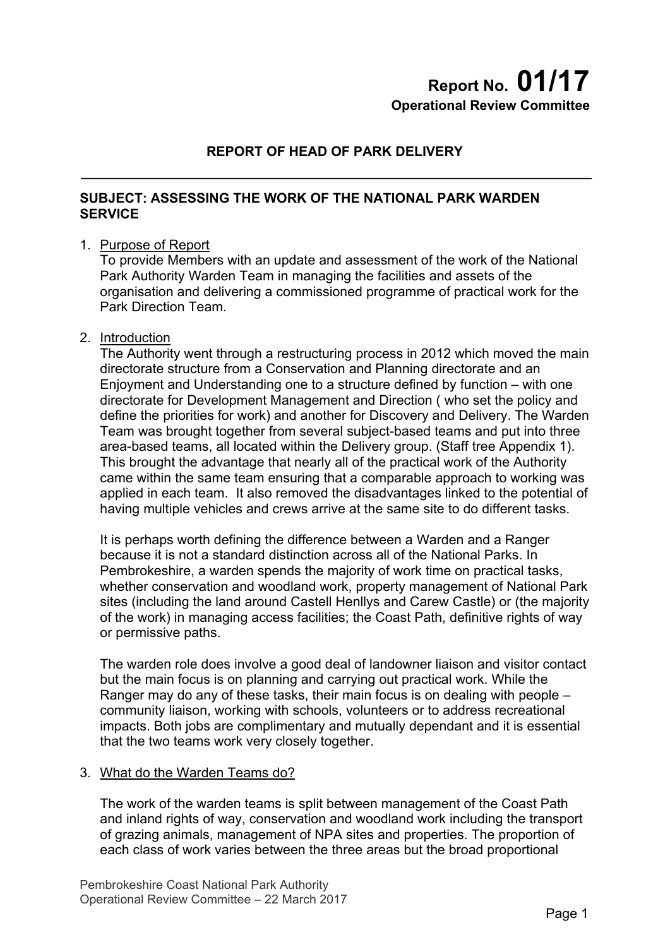# **Report No. 01/17 Operational Review Committee**

# **REPORT OF HEAD OF PARK DELIVERY**

#### **SUBJECT: ASSESSING THE WORK OF THE NATIONAL PARK WARDEN SERVICE**

#### 1. Purpose of Report

To provide Members with an update and assessment of the work of the National Park Authority Warden Team in managing the facilities and assets of the organisation and delivering a commissioned programme of practical work for the Park Direction Team.

#### 2. Introduction

The Authority went through a restructuring process in 2012 which moved the main directorate structure from a Conservation and Planning directorate and an Enjoyment and Understanding one to a structure defined by function – with one directorate for Development Management and Direction ( who set the policy and define the priorities for work) and another for Discovery and Delivery. The Warden Team was brought together from several subject-based teams and put into three area-based teams, all located within the Delivery group. (Staff tree Appendix 1). This brought the advantage that nearly all of the practical work of the Authority came within the same team ensuring that a comparable approach to working was applied in each team. It also removed the disadvantages linked to the potential of having multiple vehicles and crews arrive at the same site to do different tasks.

It is perhaps worth defining the difference between a Warden and a Ranger because it is not a standard distinction across all of the National Parks. In Pembrokeshire, a warden spends the majority of work time on practical tasks, whether conservation and woodland work, property management of National Park sites (including the land around Castell Henllys and Carew Castle) or (the majority of the work) in managing access facilities; the Coast Path, definitive rights of way or permissive paths.

The warden role does involve a good deal of landowner liaison and visitor contact but the main focus is on planning and carrying out practical work. While the Ranger may do any of these tasks, their main focus is on dealing with people – community liaison, working with schools, volunteers or to address recreational impacts. Both jobs are complimentary and mutually dependant and it is essential that the two teams work very closely together.

#### 3. What do the Warden Teams do?

The work of the warden teams is split between management of the Coast Path and inland rights of way, conservation and woodland work including the transport of grazing animals, management of NPA sites and properties. The proportion of each class of work varies between the three areas but the broad proportional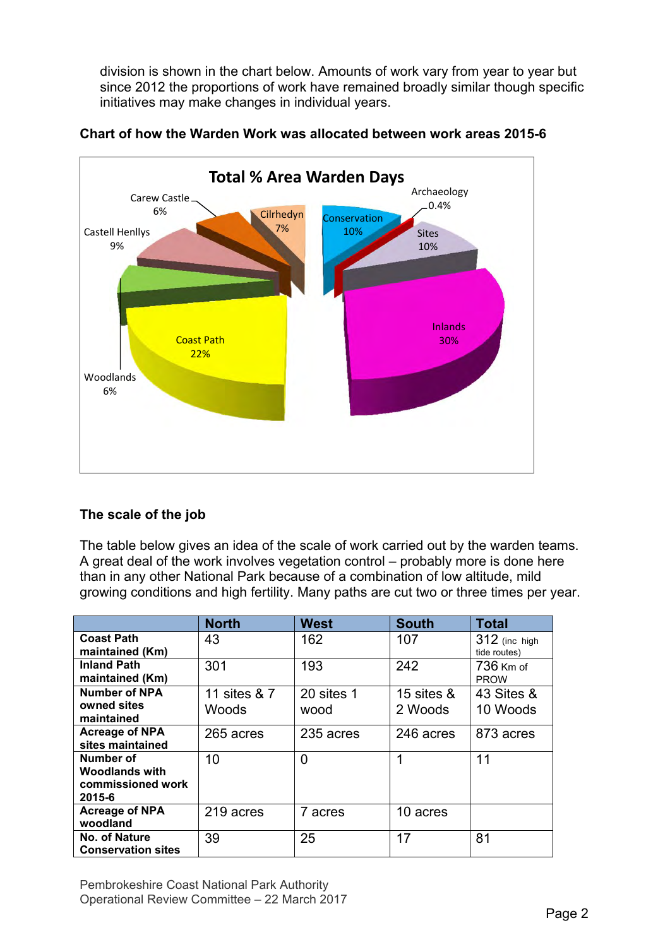division is shown in the chart below. Amounts of work vary from year to year but since 2012 the proportions of work have remained broadly similar though specific initiatives may make changes in individual years.



#### **Chart of how the Warden Work was allocated between work areas 2015-6**

# **The scale of the job**

The table below gives an idea of the scale of work carried out by the warden teams. A great deal of the work involves vegetation control – probably more is done here than in any other National Park because of a combination of low altitude, mild growing conditions and high fertility. Many paths are cut two or three times per year.

|                                                                   | <b>North</b>          | <b>West</b>        | <b>South</b>             | <b>Total</b>                  |  |  |
|-------------------------------------------------------------------|-----------------------|--------------------|--------------------------|-------------------------------|--|--|
| <b>Coast Path</b><br>maintained (Km)                              | 43                    | 162                | 107                      | 312 (inc high<br>tide routes) |  |  |
| <b>Inland Path</b><br>maintained (Km)                             | 301                   | 193                | 242                      | 736 Km of<br><b>PROW</b>      |  |  |
| <b>Number of NPA</b><br>owned sites<br>maintained                 | 11 sites & 7<br>Woods | 20 sites 1<br>wood | 15 sites $\&$<br>2 Woods | 43 Sites &<br>10 Woods        |  |  |
| <b>Acreage of NPA</b><br>sites maintained                         | 265 acres             | 235 acres          | 246 acres                | 873 acres                     |  |  |
| Number of<br><b>Woodlands with</b><br>commissioned work<br>2015-6 | 10                    | 0                  | 1                        | 11                            |  |  |
| <b>Acreage of NPA</b><br>woodland                                 | 219 acres             | 7 acres            | 10 acres                 |                               |  |  |
| No. of Nature<br><b>Conservation sites</b>                        | 39                    | 25                 | 17                       | 81                            |  |  |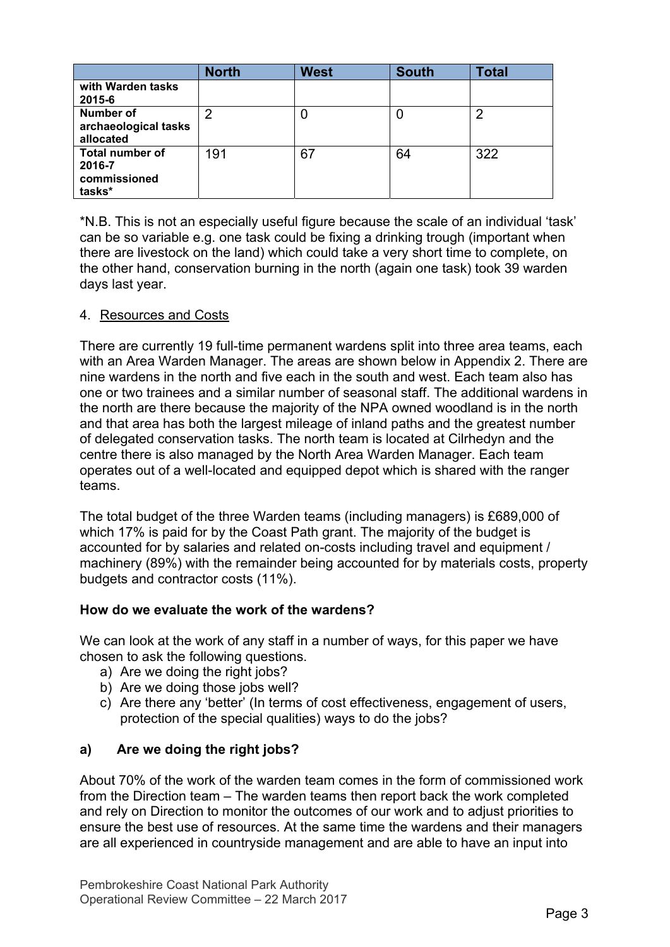|                                                            | <b>North</b> | <b>West</b> | <b>South</b> | <b>Total</b> |
|------------------------------------------------------------|--------------|-------------|--------------|--------------|
| with Warden tasks<br>2015-6                                |              |             |              |              |
| <b>Number of</b><br>archaeological tasks<br>allocated      | ာ            |             | C            | 2            |
| <b>Total number of</b><br>2016-7<br>commissioned<br>tasks* | 191          | 67          | 64           | 322          |

\*N.B. This is not an especially useful figure because the scale of an individual 'task' can be so variable e.g. one task could be fixing a drinking trough (important when there are livestock on the land) which could take a very short time to complete, on the other hand, conservation burning in the north (again one task) took 39 warden days last year.

#### 4. Resources and Costs

There are currently 19 full-time permanent wardens split into three area teams, each with an Area Warden Manager. The areas are shown below in Appendix 2. There are nine wardens in the north and five each in the south and west. Each team also has one or two trainees and a similar number of seasonal staff. The additional wardens in the north are there because the majority of the NPA owned woodland is in the north and that area has both the largest mileage of inland paths and the greatest number of delegated conservation tasks. The north team is located at Cilrhedyn and the centre there is also managed by the North Area Warden Manager. Each team operates out of a well-located and equipped depot which is shared with the ranger teams.

The total budget of the three Warden teams (including managers) is £689,000 of which 17% is paid for by the Coast Path grant. The majority of the budget is accounted for by salaries and related on-costs including travel and equipment / machinery (89%) with the remainder being accounted for by materials costs, property budgets and contractor costs (11%).

# **How do we evaluate the work of the wardens?**

We can look at the work of any staff in a number of ways, for this paper we have chosen to ask the following questions.

- a) Are we doing the right jobs?
- b) Are we doing those jobs well?
- c) Are there any 'better' (In terms of cost effectiveness, engagement of users, protection of the special qualities) ways to do the jobs?

# **a) Are we doing the right jobs?**

About 70% of the work of the warden team comes in the form of commissioned work from the Direction team – The warden teams then report back the work completed and rely on Direction to monitor the outcomes of our work and to adjust priorities to ensure the best use of resources. At the same time the wardens and their managers are all experienced in countryside management and are able to have an input into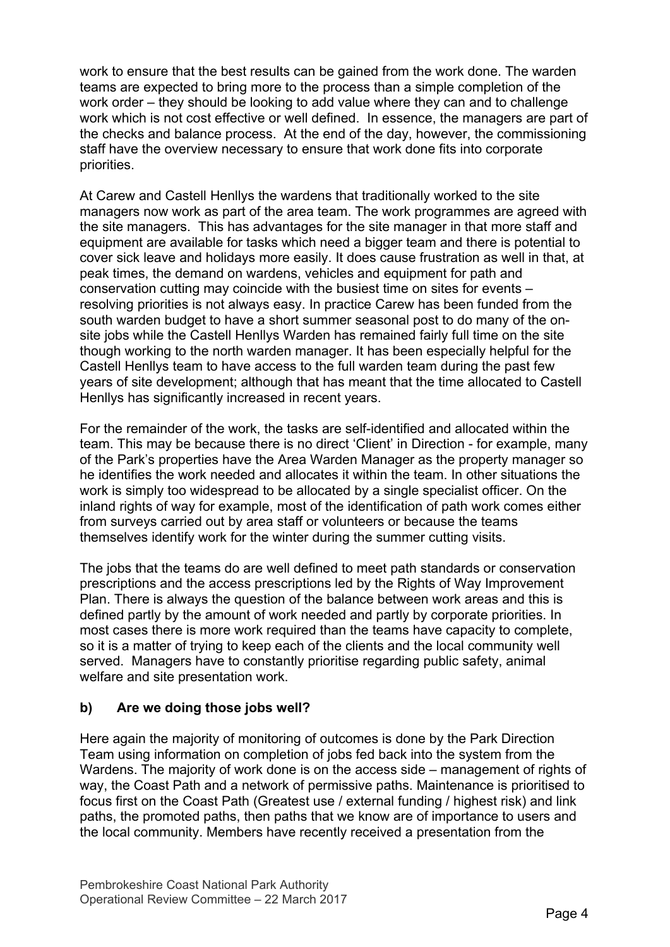work to ensure that the best results can be gained from the work done. The warden teams are expected to bring more to the process than a simple completion of the work order – they should be looking to add value where they can and to challenge work which is not cost effective or well defined. In essence, the managers are part of the checks and balance process. At the end of the day, however, the commissioning staff have the overview necessary to ensure that work done fits into corporate priorities.

At Carew and Castell Henllys the wardens that traditionally worked to the site managers now work as part of the area team. The work programmes are agreed with the site managers. This has advantages for the site manager in that more staff and equipment are available for tasks which need a bigger team and there is potential to cover sick leave and holidays more easily. It does cause frustration as well in that, at peak times, the demand on wardens, vehicles and equipment for path and conservation cutting may coincide with the busiest time on sites for events – resolving priorities is not always easy. In practice Carew has been funded from the south warden budget to have a short summer seasonal post to do many of the onsite jobs while the Castell Henllys Warden has remained fairly full time on the site though working to the north warden manager. It has been especially helpful for the Castell Henllys team to have access to the full warden team during the past few years of site development; although that has meant that the time allocated to Castell Henllys has significantly increased in recent years.

For the remainder of the work, the tasks are self-identified and allocated within the team. This may be because there is no direct 'Client' in Direction - for example, many of the Park's properties have the Area Warden Manager as the property manager so he identifies the work needed and allocates it within the team. In other situations the work is simply too widespread to be allocated by a single specialist officer. On the inland rights of way for example, most of the identification of path work comes either from surveys carried out by area staff or volunteers or because the teams themselves identify work for the winter during the summer cutting visits.

The jobs that the teams do are well defined to meet path standards or conservation prescriptions and the access prescriptions led by the Rights of Way Improvement Plan. There is always the question of the balance between work areas and this is defined partly by the amount of work needed and partly by corporate priorities. In most cases there is more work required than the teams have capacity to complete, so it is a matter of trying to keep each of the clients and the local community well served. Managers have to constantly prioritise regarding public safety, animal welfare and site presentation work.

# **b) Are we doing those jobs well?**

Here again the majority of monitoring of outcomes is done by the Park Direction Team using information on completion of jobs fed back into the system from the Wardens. The majority of work done is on the access side – management of rights of way, the Coast Path and a network of permissive paths. Maintenance is prioritised to focus first on the Coast Path (Greatest use / external funding / highest risk) and link paths, the promoted paths, then paths that we know are of importance to users and the local community. Members have recently received a presentation from the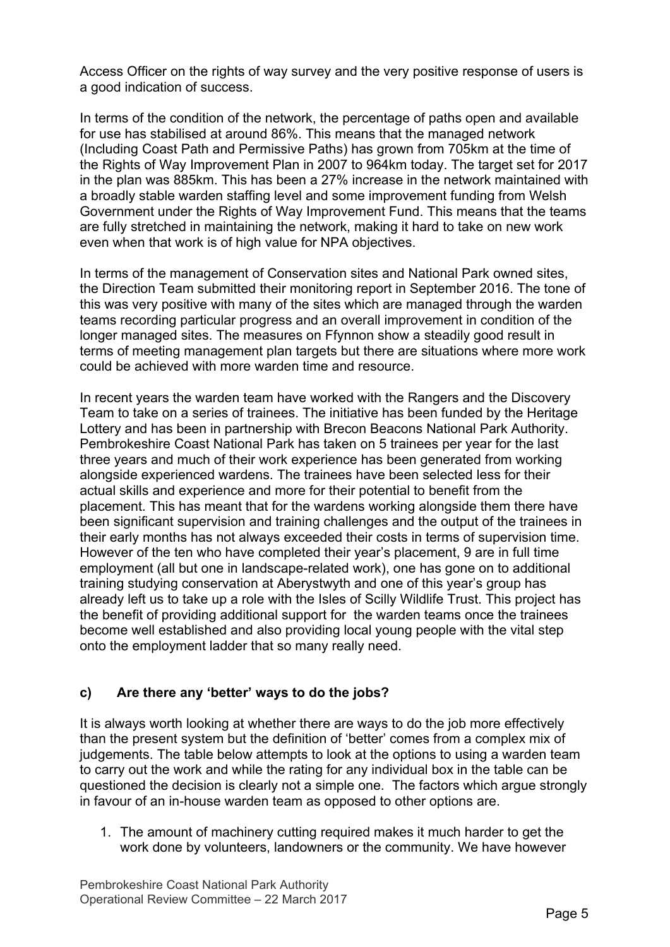Access Officer on the rights of way survey and the very positive response of users is a good indication of success.

In terms of the condition of the network, the percentage of paths open and available for use has stabilised at around 86%. This means that the managed network (Including Coast Path and Permissive Paths) has grown from 705km at the time of the Rights of Way Improvement Plan in 2007 to 964km today. The target set for 2017 in the plan was 885km. This has been a 27% increase in the network maintained with a broadly stable warden staffing level and some improvement funding from Welsh Government under the Rights of Way Improvement Fund. This means that the teams are fully stretched in maintaining the network, making it hard to take on new work even when that work is of high value for NPA objectives.

In terms of the management of Conservation sites and National Park owned sites, the Direction Team submitted their monitoring report in September 2016. The tone of this was very positive with many of the sites which are managed through the warden teams recording particular progress and an overall improvement in condition of the longer managed sites. The measures on Ffynnon show a steadily good result in terms of meeting management plan targets but there are situations where more work could be achieved with more warden time and resource.

In recent years the warden team have worked with the Rangers and the Discovery Team to take on a series of trainees. The initiative has been funded by the Heritage Lottery and has been in partnership with Brecon Beacons National Park Authority. Pembrokeshire Coast National Park has taken on 5 trainees per year for the last three years and much of their work experience has been generated from working alongside experienced wardens. The trainees have been selected less for their actual skills and experience and more for their potential to benefit from the placement. This has meant that for the wardens working alongside them there have been significant supervision and training challenges and the output of the trainees in their early months has not always exceeded their costs in terms of supervision time. However of the ten who have completed their year's placement, 9 are in full time employment (all but one in landscape-related work), one has gone on to additional training studying conservation at Aberystwyth and one of this year's group has already left us to take up a role with the Isles of Scilly Wildlife Trust. This project has the benefit of providing additional support for the warden teams once the trainees become well established and also providing local young people with the vital step onto the employment ladder that so many really need.

# **c) Are there any 'better' ways to do the jobs?**

It is always worth looking at whether there are ways to do the job more effectively than the present system but the definition of 'better' comes from a complex mix of judgements. The table below attempts to look at the options to using a warden team to carry out the work and while the rating for any individual box in the table can be questioned the decision is clearly not a simple one. The factors which argue strongly in favour of an in-house warden team as opposed to other options are.

1. The amount of machinery cutting required makes it much harder to get the work done by volunteers, landowners or the community. We have however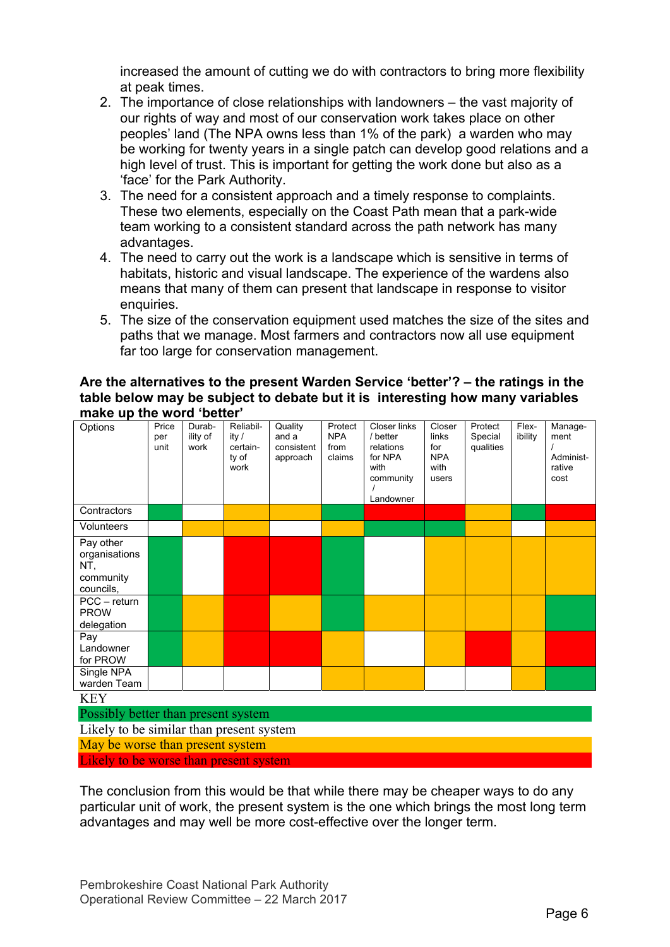increased the amount of cutting we do with contractors to bring more flexibility at peak times.

- 2. The importance of close relationships with landowners the vast majority of our rights of way and most of our conservation work takes place on other peoples' land (The NPA owns less than 1% of the park) a warden who may be working for twenty years in a single patch can develop good relations and a high level of trust. This is important for getting the work done but also as a 'face' for the Park Authority.
- 3. The need for a consistent approach and a timely response to complaints. These two elements, especially on the Coast Path mean that a park-wide team working to a consistent standard across the path network has many advantages.
- 4. The need to carry out the work is a landscape which is sensitive in terms of habitats, historic and visual landscape. The experience of the wardens also means that many of them can present that landscape in response to visitor enquiries.
- 5. The size of the conservation equipment used matches the size of the sites and paths that we manage. Most farmers and contractors now all use equipment far too large for conservation management.

#### **Are the alternatives to the present Warden Service 'better'? – the ratings in the table below may be subject to debate but it is interesting how many variables make up the word 'better'**

| Options                                                                                                                                    | Price<br>per<br>unit | Durab-<br>ility of<br>work | Reliabil-<br>ity /<br>certain-<br>ty of<br>work | Quality<br>and a<br>consistent<br>approach | Protect<br><b>NPA</b><br>from<br>claims | <b>Closer links</b><br>/ better<br>relations<br>for NPA<br>with<br>community<br>Landowner | Closer<br>links<br>for<br><b>NPA</b><br>with<br>users | Protect<br>Special<br>qualities | Flex-<br>ibility | Manage-<br>ment<br>Administ-<br>rative<br>cost |
|--------------------------------------------------------------------------------------------------------------------------------------------|----------------------|----------------------------|-------------------------------------------------|--------------------------------------------|-----------------------------------------|-------------------------------------------------------------------------------------------|-------------------------------------------------------|---------------------------------|------------------|------------------------------------------------|
| Contractors                                                                                                                                |                      |                            |                                                 |                                            |                                         |                                                                                           |                                                       |                                 |                  |                                                |
| Volunteers                                                                                                                                 |                      |                            |                                                 |                                            |                                         |                                                                                           |                                                       |                                 |                  |                                                |
| Pay other<br>organisations<br>NT,<br>community<br>councils,<br>$PCC - return$<br><b>PROW</b><br>delegation<br>Pay<br>Landowner<br>for PROW |                      |                            |                                                 |                                            |                                         |                                                                                           |                                                       |                                 |                  |                                                |
| Single NPA<br>warden Team                                                                                                                  |                      |                            |                                                 |                                            |                                         |                                                                                           |                                                       |                                 |                  |                                                |
| <b>KEY</b>                                                                                                                                 |                      |                            |                                                 |                                            |                                         |                                                                                           |                                                       |                                 |                  |                                                |
| Possibly better than present system                                                                                                        |                      |                            |                                                 |                                            |                                         |                                                                                           |                                                       |                                 |                  |                                                |
| Likely to be similar than present system                                                                                                   |                      |                            |                                                 |                                            |                                         |                                                                                           |                                                       |                                 |                  |                                                |

May be worse than present system

Likely to be worse than present system

The conclusion from this would be that while there may be cheaper ways to do any particular unit of work, the present system is the one which brings the most long term advantages and may well be more cost-effective over the longer term.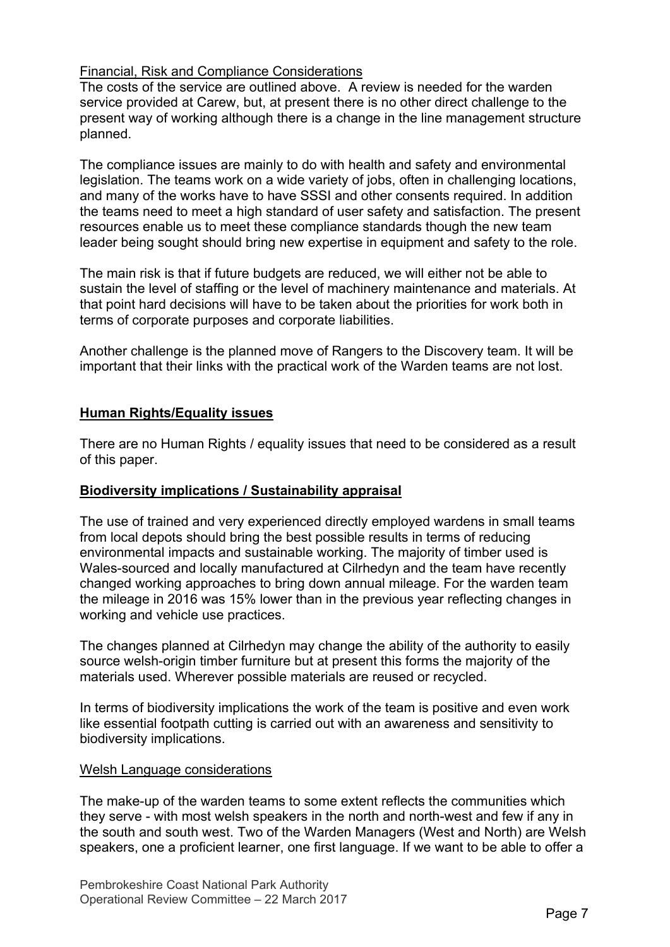#### Financial, Risk and Compliance Considerations

The costs of the service are outlined above. A review is needed for the warden service provided at Carew, but, at present there is no other direct challenge to the present way of working although there is a change in the line management structure planned.

The compliance issues are mainly to do with health and safety and environmental legislation. The teams work on a wide variety of jobs, often in challenging locations, and many of the works have to have SSSI and other consents required. In addition the teams need to meet a high standard of user safety and satisfaction. The present resources enable us to meet these compliance standards though the new team leader being sought should bring new expertise in equipment and safety to the role.

The main risk is that if future budgets are reduced, we will either not be able to sustain the level of staffing or the level of machinery maintenance and materials. At that point hard decisions will have to be taken about the priorities for work both in terms of corporate purposes and corporate liabilities.

Another challenge is the planned move of Rangers to the Discovery team. It will be important that their links with the practical work of the Warden teams are not lost.

# **Human Rights/Equality issues**

There are no Human Rights / equality issues that need to be considered as a result of this paper.

#### **Biodiversity implications / Sustainability appraisal**

The use of trained and very experienced directly employed wardens in small teams from local depots should bring the best possible results in terms of reducing environmental impacts and sustainable working. The majority of timber used is Wales-sourced and locally manufactured at Cilrhedyn and the team have recently changed working approaches to bring down annual mileage. For the warden team the mileage in 2016 was 15% lower than in the previous year reflecting changes in working and vehicle use practices.

The changes planned at Cilrhedyn may change the ability of the authority to easily source welsh-origin timber furniture but at present this forms the majority of the materials used. Wherever possible materials are reused or recycled.

In terms of biodiversity implications the work of the team is positive and even work like essential footpath cutting is carried out with an awareness and sensitivity to biodiversity implications.

#### Welsh Language considerations

The make-up of the warden teams to some extent reflects the communities which they serve - with most welsh speakers in the north and north-west and few if any in the south and south west. Two of the Warden Managers (West and North) are Welsh speakers, one a proficient learner, one first language. If we want to be able to offer a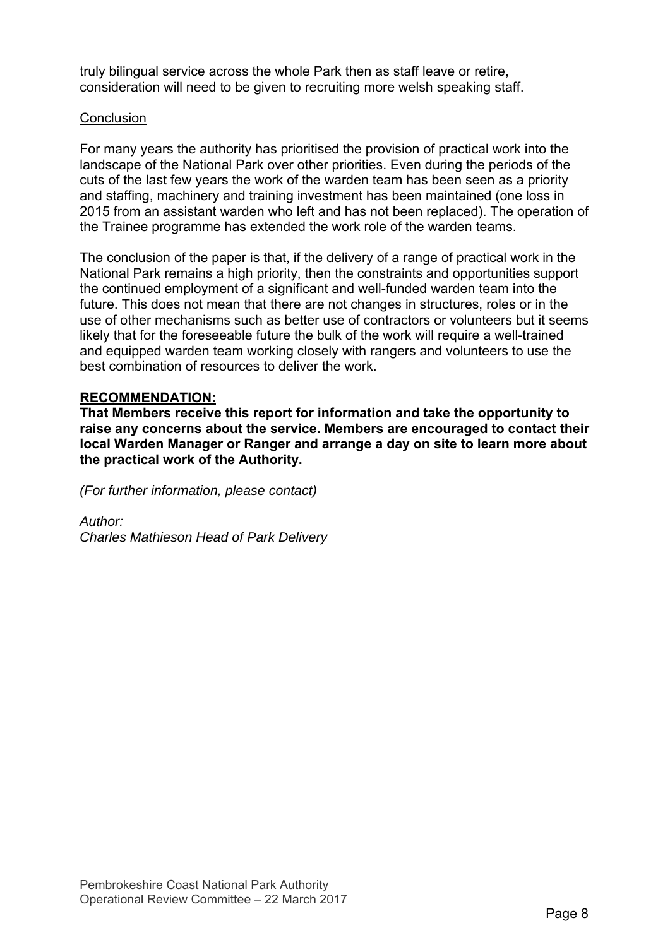truly bilingual service across the whole Park then as staff leave or retire, consideration will need to be given to recruiting more welsh speaking staff.

#### **Conclusion**

For many years the authority has prioritised the provision of practical work into the landscape of the National Park over other priorities. Even during the periods of the cuts of the last few years the work of the warden team has been seen as a priority and staffing, machinery and training investment has been maintained (one loss in 2015 from an assistant warden who left and has not been replaced). The operation of the Trainee programme has extended the work role of the warden teams.

The conclusion of the paper is that, if the delivery of a range of practical work in the National Park remains a high priority, then the constraints and opportunities support the continued employment of a significant and well-funded warden team into the future. This does not mean that there are not changes in structures, roles or in the use of other mechanisms such as better use of contractors or volunteers but it seems likely that for the foreseeable future the bulk of the work will require a well-trained and equipped warden team working closely with rangers and volunteers to use the best combination of resources to deliver the work.

#### **RECOMMENDATION:**

**That Members receive this report for information and take the opportunity to raise any concerns about the service. Members are encouraged to contact their local Warden Manager or Ranger and arrange a day on site to learn more about the practical work of the Authority.** 

*(For further information, please contact)* 

*Author:* 

*Charles Mathieson Head of Park Delivery*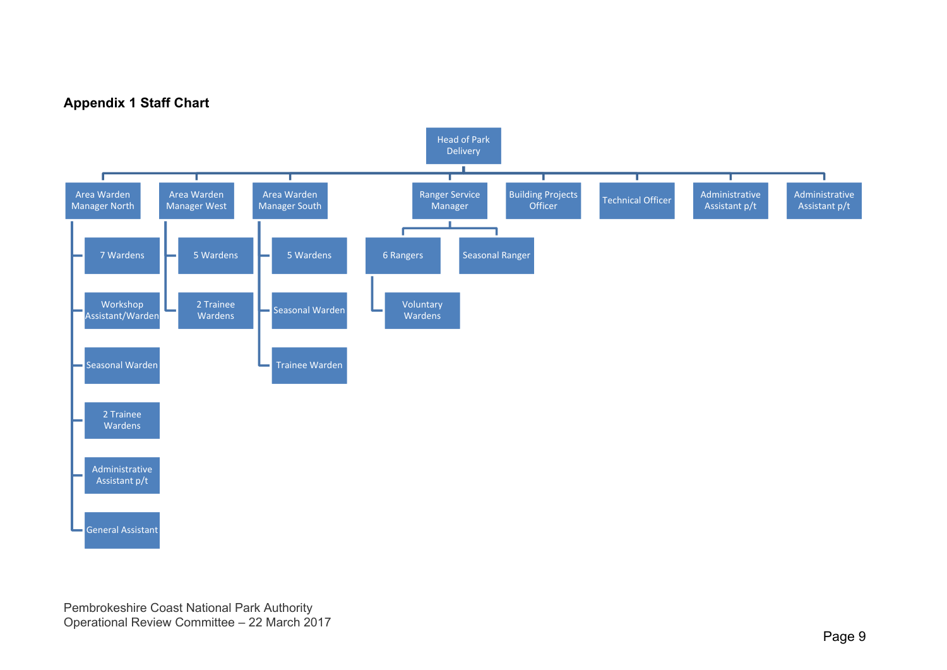# **Appendix 1 Staff Chart**